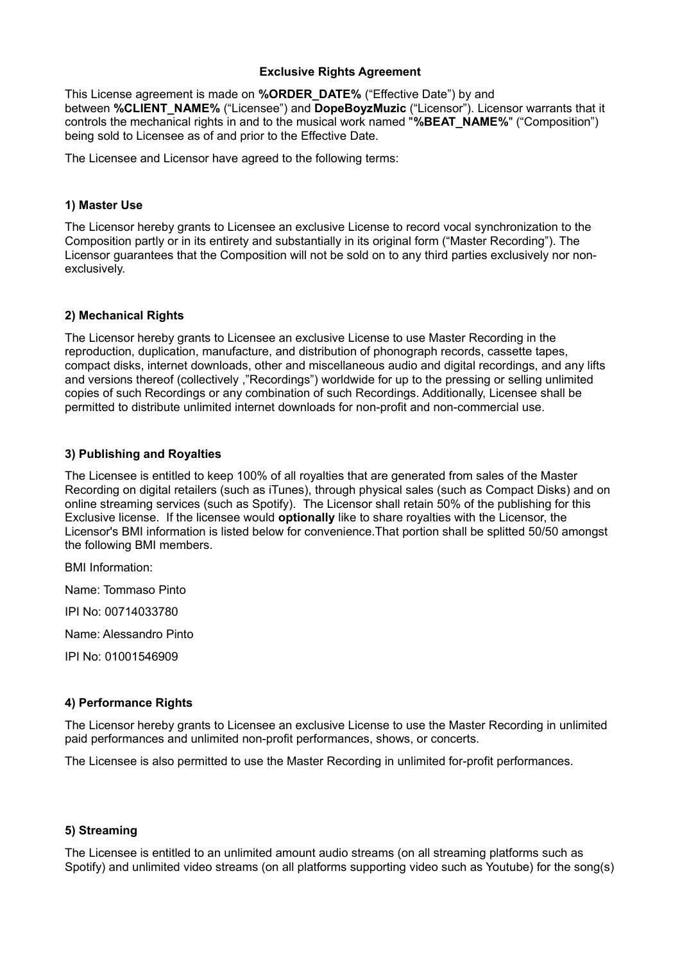## **Exclusive Rights Agreement**

This License agreement is made on **%ORDER\_DATE%** ("Effective Date") by and between **%CLIENT\_NAME%** ("Licensee") and **DopeBoyzMuzic** ("Licensor"). Licensor warrants that it controls the mechanical rights in and to the musical work named "**%BEAT\_NAME%**" ("Composition") being sold to Licensee as of and prior to the Effective Date.

The Licensee and Licensor have agreed to the following terms:

## **1) Master Use**

The Licensor hereby grants to Licensee an exclusive License to record vocal synchronization to the Composition partly or in its entirety and substantially in its original form ("Master Recording"). The Licensor guarantees that the Composition will not be sold on to any third parties exclusively nor nonexclusively.

# **2) Mechanical Rights**

The Licensor hereby grants to Licensee an exclusive License to use Master Recording in the reproduction, duplication, manufacture, and distribution of phonograph records, cassette tapes, compact disks, internet downloads, other and miscellaneous audio and digital recordings, and any lifts and versions thereof (collectively ,"Recordings") worldwide for up to the pressing or selling unlimited copies of such Recordings or any combination of such Recordings. Additionally, Licensee shall be permitted to distribute unlimited internet downloads for non-profit and non-commercial use.

# **3) Publishing and Royalties**

The Licensee is entitled to keep 100% of all royalties that are generated from sales of the Master Recording on digital retailers (such as iTunes), through physical sales (such as Compact Disks) and on online streaming services (such as Spotify). The Licensor shall retain 50% of the publishing for this Exclusive license. If the licensee would **optionally** like to share royalties with the Licensor, the Licensor's BMI information is listed below for convenience.That portion shall be splitted 50/50 amongst the following BMI members.

BMI Information:

Name: Tommaso Pinto

IPI No: 00714033780

Name: Alessandro Pinto

IPI No: 01001546909

### **4) Performance Rights**

The Licensor hereby grants to Licensee an exclusive License to use the Master Recording in unlimited paid performances and unlimited non-profit performances, shows, or concerts.

The Licensee is also permitted to use the Master Recording in unlimited for-profit performances.

### **5) Streaming**

The Licensee is entitled to an unlimited amount audio streams (on all streaming platforms such as Spotify) and unlimited video streams (on all platforms supporting video such as Youtube) for the song(s)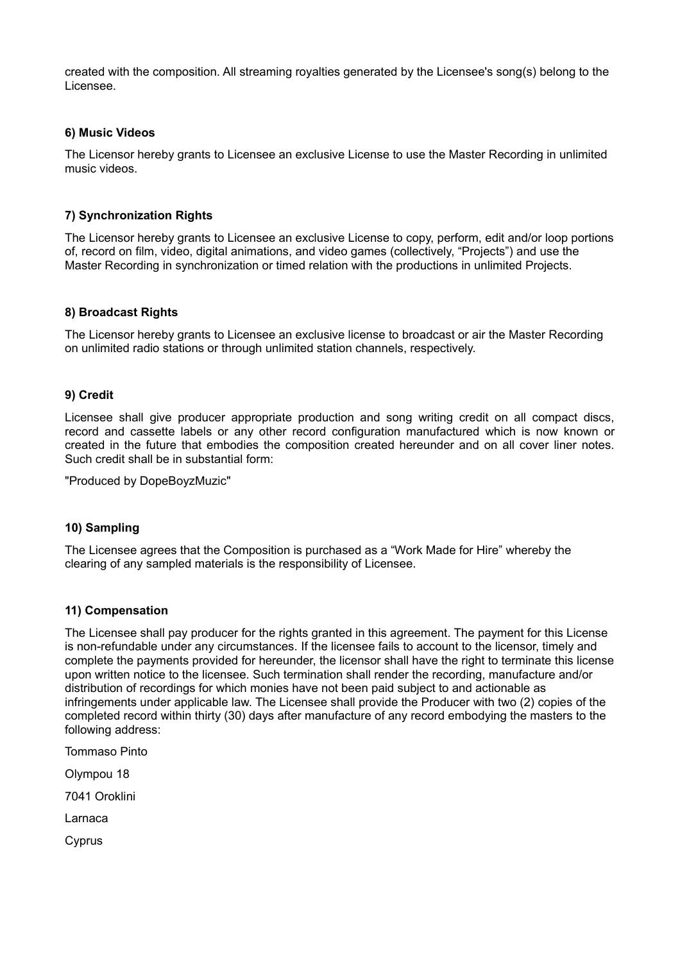created with the composition. All streaming royalties generated by the Licensee's song(s) belong to the Licensee.

# **6) Music Videos**

The Licensor hereby grants to Licensee an exclusive License to use the Master Recording in unlimited music videos.

# **7) Synchronization Rights**

The Licensor hereby grants to Licensee an exclusive License to copy, perform, edit and/or loop portions of, record on film, video, digital animations, and video games (collectively, "Projects") and use the Master Recording in synchronization or timed relation with the productions in unlimited Projects.

### **8) Broadcast Rights**

The Licensor hereby grants to Licensee an exclusive license to broadcast or air the Master Recording on unlimited radio stations or through unlimited station channels, respectively.

### **9) Credit**

Licensee shall give producer appropriate production and song writing credit on all compact discs, record and cassette labels or any other record configuration manufactured which is now known or created in the future that embodies the composition created hereunder and on all cover liner notes. Such credit shall be in substantial form:

"Produced by DopeBoyzMuzic"

### **10) Sampling**

The Licensee agrees that the Composition is purchased as a "Work Made for Hire" whereby the clearing of any sampled materials is the responsibility of Licensee.

### **11) Compensation**

The Licensee shall pay producer for the rights granted in this agreement. The payment for this License is non-refundable under any circumstances. If the licensee fails to account to the licensor, timely and complete the payments provided for hereunder, the licensor shall have the right to terminate this license upon written notice to the licensee. Such termination shall render the recording, manufacture and/or distribution of recordings for which monies have not been paid subject to and actionable as infringements under applicable law. The Licensee shall provide the Producer with two (2) copies of the completed record within thirty (30) days after manufacture of any record embodying the masters to the following address:

Tommaso Pinto Olympou 18 7041 Oroklini Larnaca **C**vprus